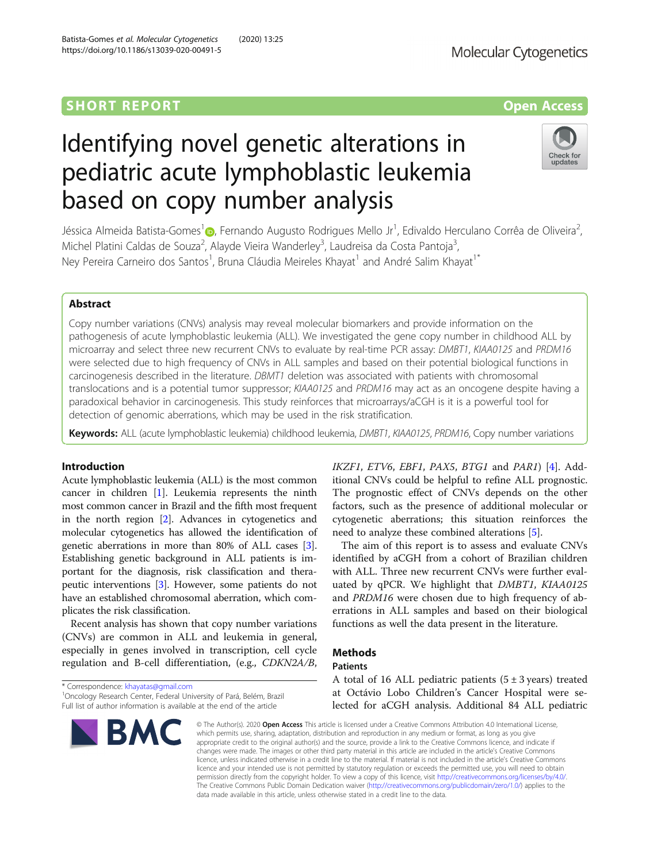# Identifying novel genetic alterations in pediatric acute lymphoblastic leukemia based on copy number analysis



Jéssica Almeida Batista-Gomes<sup>1</sup> (**p**[,](http://orcid.org/0000-0002-2409-7041) Fernando Augusto Rodrigues Mello Jr<sup>1</sup>, Edivaldo Herculano Corrêa de Oliveira<sup>2</sup> , Michel Platini Caldas de Souza<sup>2</sup>, Alayde Vieira Wanderley<sup>3</sup>, Laudreisa da Costa Pantoja<sup>3</sup> , Ney Pereira Carneiro dos Santos<sup>1</sup>, Bruna Cláudia Meireles Khayat<sup>1</sup> and André Salim Khayat<sup>1\*</sup>

# Abstract

Copy number variations (CNVs) analysis may reveal molecular biomarkers and provide information on the pathogenesis of acute lymphoblastic leukemia (ALL). We investigated the gene copy number in childhood ALL by microarray and select three new recurrent CNVs to evaluate by real-time PCR assay: DMBT1, KIAA0125 and PRDM16 were selected due to high frequency of CNVs in ALL samples and based on their potential biological functions in carcinogenesis described in the literature. DBMT1 deletion was associated with patients with chromosomal translocations and is a potential tumor suppressor; KIAA0125 and PRDM16 may act as an oncogene despite having a paradoxical behavior in carcinogenesis. This study reinforces that microarrays/aCGH is it is a powerful tool for detection of genomic aberrations, which may be used in the risk stratification.

Keywords: ALL (acute lymphoblastic leukemia) childhood leukemia, DMBT1, KIAA0125, PRDM16, Copy number variations

# Introduction

Acute lymphoblastic leukemia (ALL) is the most common cancer in children [[1](#page-6-0)]. Leukemia represents the ninth most common cancer in Brazil and the fifth most frequent in the north region [\[2](#page-6-0)]. Advances in cytogenetics and molecular cytogenetics has allowed the identification of genetic aberrations in more than 80% of ALL cases [[3](#page-6-0)]. Establishing genetic background in ALL patients is important for the diagnosis, risk classification and therapeutic interventions [\[3](#page-6-0)]. However, some patients do not have an established chromosomal aberration, which complicates the risk classification.

Recent analysis has shown that copy number variations (CNVs) are common in ALL and leukemia in general, especially in genes involved in transcription, cell cycle regulation and B-cell differentiation, (e.g., CDKN2A/B,

The aim of this report is to assess and evaluate CNVs identified by aCGH from a cohort of Brazilian children with ALL. Three new recurrent CNVs were further evaluated by qPCR. We highlight that DMBT1, KIAA0125 and PRDM16 were chosen due to high frequency of aberrations in ALL samples and based on their biological functions as well the data present in the literature.

# **Methods**

## Patients

Full list of author information is available at the end of the article



IKZF1, ETV6, EBF1, PAX5, BTG1 and PAR1) [\[4](#page-6-0)]. Additional CNVs could be helpful to refine ALL prognostic. The prognostic effect of CNVs depends on the other factors, such as the presence of additional molecular or cytogenetic aberrations; this situation reinforces the need to analyze these combined alterations [\[5](#page-6-0)].

<sup>\*</sup> Correspondence: [khayatas@gmail.com](mailto:khayatas@gmail.com) <sup>1</sup> <sup>1</sup> Oncology Research Center, Federal University of Pará, Belém, Brazil

A total of 16 ALL pediatric patients  $(5 \pm 3 \text{ years})$  treated at Octávio Lobo Children's Cancer Hospital were selected for aCGH analysis. Additional 84 ALL pediatric

<sup>©</sup> The Author(s), 2020 **Open Access** This article is licensed under a Creative Commons Attribution 4.0 International License, which permits use, sharing, adaptation, distribution and reproduction in any medium or format, as long as you give appropriate credit to the original author(s) and the source, provide a link to the Creative Commons licence, and indicate if changes were made. The images or other third party material in this article are included in the article's Creative Commons licence, unless indicated otherwise in a credit line to the material. If material is not included in the article's Creative Commons licence and your intended use is not permitted by statutory regulation or exceeds the permitted use, you will need to obtain permission directly from the copyright holder. To view a copy of this licence, visit [http://creativecommons.org/licenses/by/4.0/.](http://creativecommons.org/licenses/by/4.0/) The Creative Commons Public Domain Dedication waiver [\(http://creativecommons.org/publicdomain/zero/1.0/](http://creativecommons.org/publicdomain/zero/1.0/)) applies to the data made available in this article, unless otherwise stated in a credit line to the data.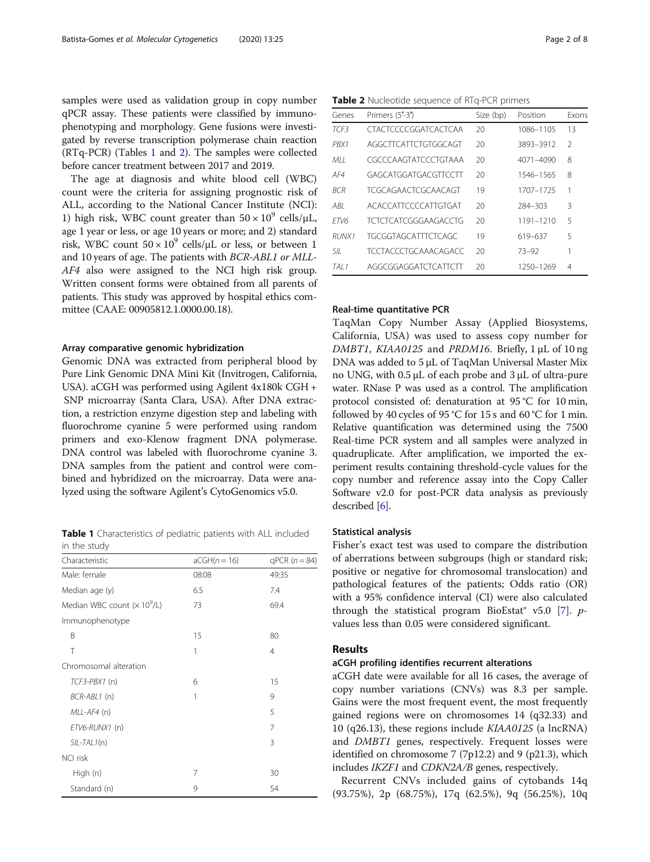samples were used as validation group in copy number qPCR assay. These patients were classified by immunophenotyping and morphology. Gene fusions were investigated by reverse transcription polymerase chain reaction (RTq-PCR) (Tables 1 and 2). The samples were collected before cancer treatment between 2017 and 2019.

The age at diagnosis and white blood cell (WBC) count were the criteria for assigning prognostic risk of ALL, according to the National Cancer Institute (NCI): 1) high risk, WBC count greater than  $50 \times 10^9$  cells/ $\mu$ L, age 1 year or less, or age 10 years or more; and 2) standard risk, WBC count  $50 \times 10^9$  cells/ $\mu$ L or less, or between 1 and 10 years of age. The patients with BCR-ABL1 or MLL-AF4 also were assigned to the NCI high risk group. Written consent forms were obtained from all parents of patients. This study was approved by hospital ethics committee (CAAE: 00905812.1.0000.00.18).

#### Array comparative genomic hybridization

Genomic DNA was extracted from peripheral blood by Pure Link Genomic DNA Mini Kit (Invitrogen, California, USA). aCGH was performed using Agilent 4x180k CGH + SNP microarray (Santa Clara, USA). After DNA extraction, a restriction enzyme digestion step and labeling with fluorochrome cyanine 5 were performed using random primers and exo-Klenow fragment DNA polymerase. DNA control was labeled with fluorochrome cyanine 3. DNA samples from the patient and control were combined and hybridized on the microarray. Data were analyzed using the software Agilent's CytoGenomics v5.0.

Table 1 Characteristics of pediatric patients with ALL included in the study

| Characteristic                | $aCGH(n = 16)$ | $qPCR (n = 84)$ |  |
|-------------------------------|----------------|-----------------|--|
| Male: female                  | 08:08          | 49:35           |  |
| Median age (y)                | 6.5            | 7.4             |  |
| Median WBC count $(x 10^9/L)$ | 73             | 69.4            |  |
| Immunophenotype               |                |                 |  |
| B                             | 15             | 80              |  |
| T                             | 1              | 4               |  |
| Chromosomal alteration        |                |                 |  |
| TCF3-PBX1 (n)                 | 6              | 15              |  |
| BCR-ABL1 (n)                  | 1              | 9               |  |
| MLL-AF4 (n)                   |                | 5               |  |
| ETV6-RUNX1 (n)                |                | 7               |  |
| $SIL-TAL1(n)$                 |                | 3               |  |
| <b>NCI risk</b>               |                |                 |  |
| High (n)                      | 7              | 30              |  |
| Standard (n)                  | 9              | 54              |  |

Table 2 Nucleotide sequence of RTq-PCR primers

| Genes      | Primers (5'-3')             | Size (bp) | Position  | <b>Exons</b>   |
|------------|-----------------------------|-----------|-----------|----------------|
| TCF3       | CTACTCCCCGGATCACTCAA        | 20        | 1086-1105 | 13             |
| PRX1       | AGGCTTCATTCTGTGGCAGT        | 20        | 3893-3912 | $\mathfrak{D}$ |
| MH.        | CGCCCAAGTATCCCTGTAAA        | 20        | 4071-4090 | 8              |
| AF4        | GAGCATGGATGACGTTCCTT        | 20        | 1546-1565 | 8              |
| <b>BCR</b> | TCGCAGAACTCGCAACAGT         | 19        | 1707-1725 |                |
| ABI        | ACACCATTCCCCATTGTGAT        | 20        | 284-303   | 3              |
| FTV6       | TCTCTCATCGGGAAGACCTG        | 20        | 1191-1210 | 5              |
| RUNX1      | TGCGGTAGCATTTCTCAGC         | 19        | 619-637   | 5              |
| SII        | <b>TCCTACCCTGCAAACAGACC</b> | 20        | 73-92     |                |
| TAI 1      | AGGCGGAGGATCTCATTCTT        | 20        | 1250-1269 | 4              |

#### Real-time quantitative PCR

TaqMan Copy Number Assay (Applied Biosystems, California, USA) was used to assess copy number for DMBT1, KIAA0125 and PRDM16. Briefly, 1 μL of 10 ng DNA was added to 5 μL of TaqMan Universal Master Mix no UNG, with 0.5 μL of each probe and 3 μL of ultra-pure water. RNase P was used as a control. The amplification protocol consisted of: denaturation at 95 °C for 10 min, followed by 40 cycles of 95 °C for 15 s and 60 °C for 1 min. Relative quantification was determined using the 7500 Real-time PCR system and all samples were analyzed in quadruplicate. After amplification, we imported the experiment results containing threshold-cycle values for the copy number and reference assay into the Copy Caller Software v2.0 for post-PCR data analysis as previously described [\[6](#page-6-0)].

### Statistical analysis

Fisher's exact test was used to compare the distribution of aberrations between subgroups (high or standard risk; positive or negative for chromosomal translocation) and pathological features of the patients; Odds ratio (OR) with a 95% confidence interval (CI) were also calculated through the statistical program BioEstat® v5.0 [[7\]](#page-6-0).  $p$ values less than 0.05 were considered significant.

# Results

#### aCGH profiling identifies recurrent alterations

aCGH date were available for all 16 cases, the average of copy number variations (CNVs) was 8.3 per sample. Gains were the most frequent event, the most frequently gained regions were on chromosomes 14 (q32.33) and 10 (q26.13), these regions include KIAA0125 (a lncRNA) and DMBT1 genes, respectively. Frequent losses were identified on chromosome 7 (7p12.2) and 9 (p21.3), which includes IKZF1 and CDKN2A/B genes, respectively.

Recurrent CNVs included gains of cytobands 14q (93.75%), 2p (68.75%), 17q (62.5%), 9q (56.25%), 10q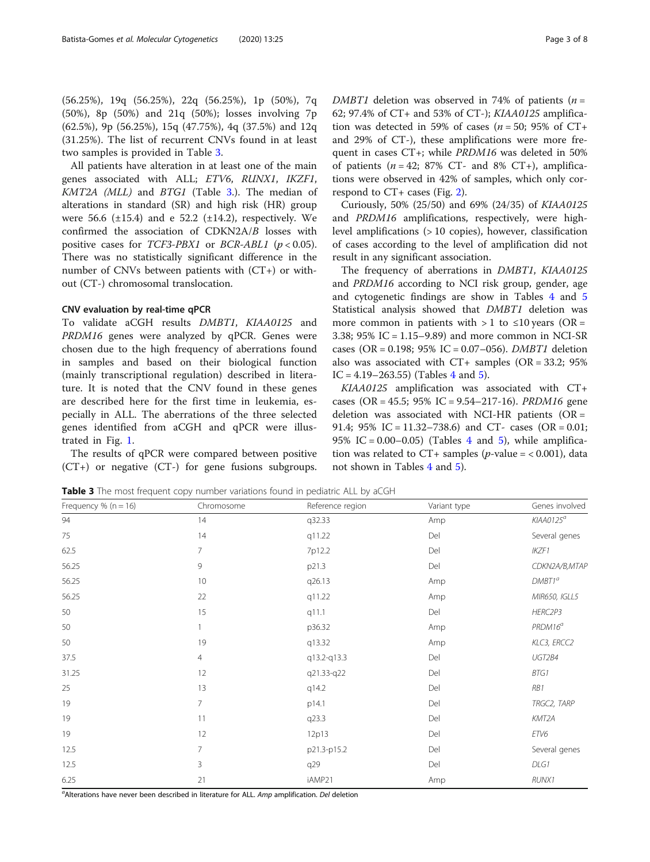<span id="page-2-0"></span>(56.25%), 19q (56.25%), 22q (56.25%), 1p (50%), 7q (50%), 8p (50%) and 21q (50%); losses involving 7p (62.5%), 9p (56.25%), 15q (47.75%), 4q (37.5%) and 12q (31.25%). The list of recurrent CNVs found in at least two samples is provided in Table 3.

All patients have alteration in at least one of the main genes associated with ALL; ETV6, RUNX1, IKZF1, KMT2A (MLL) and BTG1 (Table 3.). The median of alterations in standard (SR) and high risk (HR) group were 56.6  $(\pm 15.4)$  and e 52.2  $(\pm 14.2)$ , respectively. We confirmed the association of CDKN2A/B losses with positive cases for  $TCF3-PBX1$  or  $BCR-ABL1$  ( $p < 0.05$ ). There was no statistically significant difference in the number of CNVs between patients with (CT+) or without (CT-) chromosomal translocation.

#### CNV evaluation by real-time qPCR

To validate aCGH results DMBT1, KIAA0125 and PRDM16 genes were analyzed by qPCR. Genes were chosen due to the high frequency of aberrations found in samples and based on their biological function (mainly transcriptional regulation) described in literature. It is noted that the CNV found in these genes are described here for the first time in leukemia, especially in ALL. The aberrations of the three selected genes identified from aCGH and qPCR were illustrated in Fig. [1](#page-3-0).

The results of qPCR were compared between positive (CT+) or negative (CT-) for gene fusions subgroups.

DMBT1 deletion was observed in 74% of patients ( $n =$ 62; 97.4% of CT+ and 53% of CT-); KIAA0125 amplification was detected in 59% of cases ( $n = 50$ ; 95% of CT+ and 29% of CT-), these amplifications were more frequent in cases CT+; while PRDM16 was deleted in 50% of patients ( $n = 42$ ; 87% CT- and 8% CT+), amplifications were observed in 42% of samples, which only correspond to  $CT$  + cases (Fig. [2\)](#page-3-0).

Curiously, 50% (25/50) and 69% (24/35) of KIAA0125 and PRDM16 amplifications, respectively, were highlevel amplifications (> 10 copies), however, classification of cases according to the level of amplification did not result in any significant association.

The frequency of aberrations in DMBT1, KIAA0125 and PRDM16 according to NCI risk group, gender, age and cytogenetic findings are show in Tables [4](#page-4-0) and [5](#page-4-0) Statistical analysis showed that DMBT1 deletion was more common in patients with  $> 1$  to  $\leq 10$  years (OR = 3.38; 95% IC = 1.15–9.89) and more common in NCI-SR cases (OR = 0.198; 95% IC = 0.07–056). DMBT1 deletion also was associated with  $CT+$  samples (OR = 33.2; 95%) IC = [4](#page-4-0).19–263.5[5\)](#page-4-0) (Tables 4 and 5).

KIAA0125 amplification was associated with CT+ cases (OR =  $45.5$ ;  $95\%$  IC =  $9.54-217-16$ ). *PRDM16* gene deletion was associated with NCI-HR patients ( $OR =$ 91.4; 95% IC = 11.32–738.6) and CT- cases (OR = 0.01; 95% IC =  $0.00-0.05$ ) (Tables [4](#page-4-0) and [5\)](#page-4-0), while amplification was related to CT+ samples (*p*-value = < 0.001), data not shown in Tables [4](#page-4-0) and [5](#page-4-0)).

**Table 3** The most frequent copy number variations found in pediatric ALL by aCGH

| Frequency % ( $n = 16$ ) | Chromosome     | Reference region | Variant type | Genes involved        |
|--------------------------|----------------|------------------|--------------|-----------------------|
| 94                       | 14             | q32.33           | Amp          | KIAAO125 <sup>a</sup> |
| 75                       | 14             | q11.22           | Del          | Several genes         |
| 62.5                     | 7              | 7p12.2           | Del          | IKZF1                 |
| 56.25                    | 9              | p21.3            | Del          | CDKN2A/B,MTAF         |
| 56.25                    | 10             | q26.13           | Amp          | $DMBT1^a$             |
| 56.25                    | 22             | q11.22           | Amp          | MIR650, IGLL5         |
| 50                       | 15             | q11.1            | Del          | HERC2P3               |
| 50                       |                | p36.32           | Amp          | $PRDM16^a$            |
| 50                       | 19             | q13.32           | Amp          | KLC3, ERCC2           |
| 37.5                     | $\overline{4}$ | q13.2-q13.3      | Del          | UGT2B4                |
| 31.25                    | 12             | q21.33-q22       | Del          | BTG1                  |
| 25                       | 13             | q14.2            | Del          | RB1                   |
| 19                       | 7              | p14.1            | Del          | TRGC2, TARP           |
| 19                       | 11             | q23.3            | Del          | KMT2A                 |
| 19                       | 12             | 12p13            | Del          | ETV6                  |
| 12.5                     | $\overline{7}$ | p21.3-p15.2      | Del          | Several genes         |
| 12.5                     | 3              | q29              | Del          | DLG1                  |
| 6.25                     | 21             | iAMP21           | Amp          | RUNX1                 |

<sup>a</sup>Alterations have never been described in literature for ALL. *Amp* amplification. *Del* deletion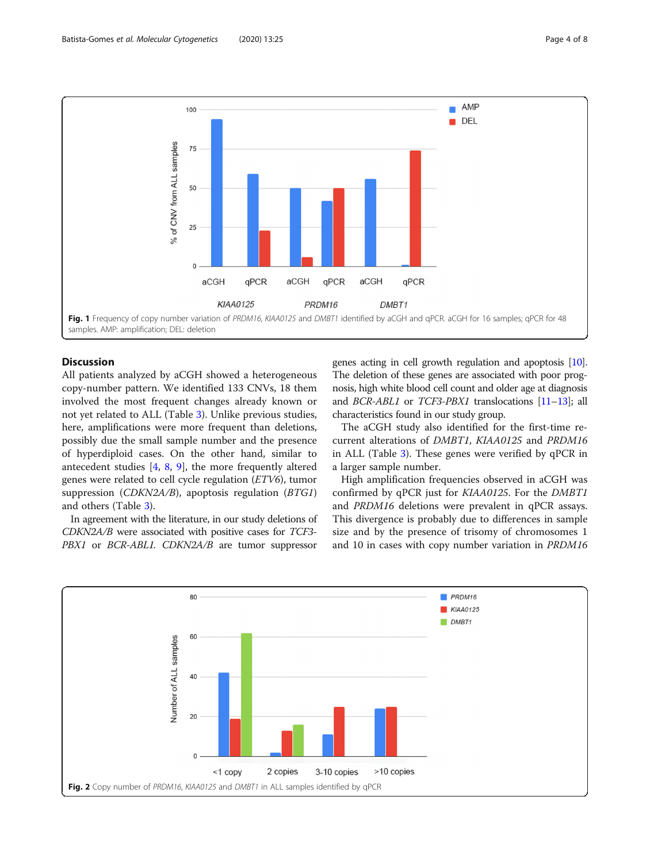<span id="page-3-0"></span>

# **Discussion**

All patients analyzed by aCGH showed a heterogeneous copy-number pattern. We identified 133 CNVs, 18 them involved the most frequent changes already known or not yet related to ALL (Table [3\)](#page-2-0). Unlike previous studies, here, amplifications were more frequent than deletions, possibly due the small sample number and the presence of hyperdiploid cases. On the other hand, similar to antecedent studies  $[4, 8, 9]$  $[4, 8, 9]$  $[4, 8, 9]$  $[4, 8, 9]$  $[4, 8, 9]$ , the more frequently altered genes were related to cell cycle regulation (ETV6), tumor suppression (CDKN2A/B), apoptosis regulation (BTG1) and others (Table [3](#page-2-0)).

In agreement with the literature, in our study deletions of CDKN2A/B were associated with positive cases for TCF3- PBX1 or BCR-ABL1. CDKN2A/B are tumor suppressor genes acting in cell growth regulation and apoptosis [\[10](#page-6-0)]. The deletion of these genes are associated with poor prognosis, high white blood cell count and older age at diagnosis and BCR-ABL1 or TCF3-PBX1 translocations [[11](#page-6-0)–[13](#page-6-0)]; all characteristics found in our study group.

The aCGH study also identified for the first-time recurrent alterations of DMBT1, KIAA0125 and PRDM16 in ALL (Table [3\)](#page-2-0). These genes were verified by qPCR in a larger sample number.

High amplification frequencies observed in aCGH was confirmed by qPCR just for KIAA0125. For the DMBT1 and PRDM16 deletions were prevalent in qPCR assays. This divergence is probably due to differences in sample size and by the presence of trisomy of chromosomes 1 and 10 in cases with copy number variation in PRDM16

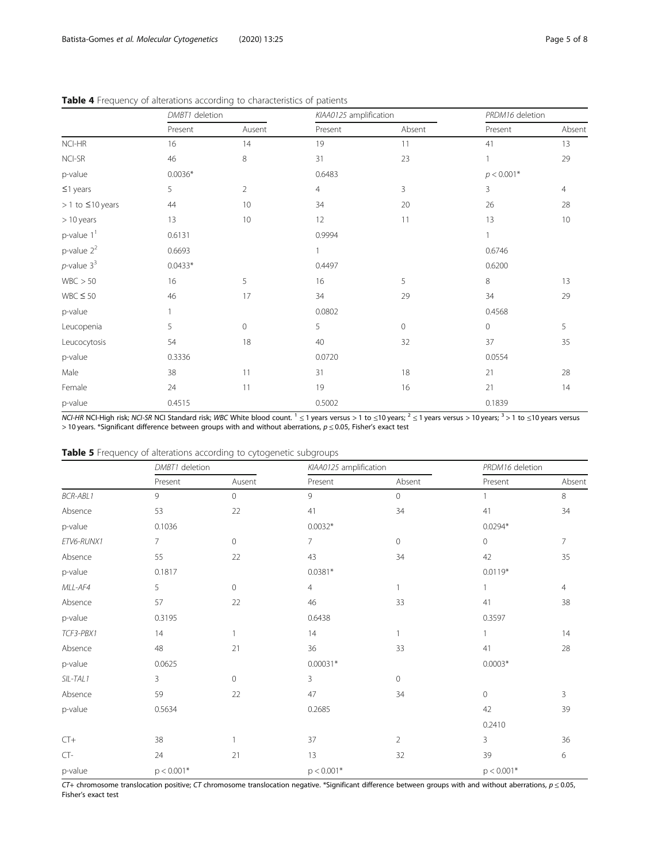|                          | DMBT1 deletion |                | KIAA0125 amplification |             | PRDM16 deletion |                |
|--------------------------|----------------|----------------|------------------------|-------------|-----------------|----------------|
|                          | Present        | Ausent         | Present                | Absent      | Present         | Absent         |
| NCI-HR                   | 16             | 14             | 19                     | 11          | 41              | 13             |
| NCI-SR                   | 46             | 8              | 31                     | 23          | $\mathbf{1}$    | 29             |
| p-value                  | $0.0036*$      |                | 0.6483                 |             | $p < 0.001*$    |                |
| $\leq$ 1 years           | 5              | $\overline{2}$ | 4                      | 3           | 3               | $\overline{4}$ |
| $> 1$ to $\leq 10$ years | 44             | 10             | 34                     | 20          | 26              | 28             |
| > 10 years               | 13             | $10$           | 12                     | 11          | 13              | $10$           |
| $p$ -value $11$          | 0.6131         |                | 0.9994                 |             | $\mathbf{1}$    |                |
| $p$ -value $2^2$         | 0.6693         |                | 1                      |             | 0.6746          |                |
| $p$ -value $3^3$         | $0.0433*$      |                | 0.4497                 |             | 0.6200          |                |
| WBC > 50                 | 16             | 5              | 16                     | 5           | 8               | 13             |
| $WBC \leq 50$            | 46             | 17             | 34                     | 29          | 34              | 29             |
| p-value                  | 1              |                | 0.0802                 |             | 0.4568          |                |
| Leucopenia               | 5              | 0              | 5                      | $\mathbf 0$ | $\mathbf 0$     | 5              |
| Leucocytosis             | 54             | 18             | 40                     | 32          | 37              | 35             |
| p-value                  | 0.3336         |                | 0.0720                 |             | 0.0554          |                |
| Male                     | 38             | 11             | 31                     | 18          | 21              | 28             |
| Female                   | 24             | 11             | 19                     | 16          | 21              | 14             |
| p-value                  | 0.4515         |                | 0.5002                 |             | 0.1839          |                |

<span id="page-4-0"></span>Table 4 Frequency of alterations according to characteristics of patients

 $NCL$ -HR NCI-High risk; NCI-SR NCI Standard risk; WBC White blood count.  $1 \le 1$  years versus > 1 to ≤10 years versus > 10 years;  $3 > 1$  to ≤10 years versus > 10 years. \*Significant difference between groups with and without aberrations,  $p \le 0.05$ , Fisher's exact test

| Table 5 Frequency of alterations according to cytogenetic subgroups |  |
|---------------------------------------------------------------------|--|
|---------------------------------------------------------------------|--|

|                 | DMBT1 deletion |                     | KIAA0125 amplification |                | PRDM16 deletion |                |
|-----------------|----------------|---------------------|------------------------|----------------|-----------------|----------------|
|                 | Present        | Ausent              | Present                | Absent         | Present         | Absent         |
| <b>BCR-ABL1</b> | 9              | 0                   | 9                      | $\circ$        | $\mathbf{1}$    | 8              |
| Absence         | 53             | 22                  | 41                     | 34             | 41              | 34             |
| p-value         | 0.1036         |                     | $0.0032*$              |                | $0.0294*$       |                |
| ETV6-RUNX1      | $\overline{7}$ | $\mathsf{O}\xspace$ | 7                      | 0              | $\circ$         | 7              |
| Absence         | 55             | 22                  | 43                     | 34             | 42              | 35             |
| p-value         | 0.1817         |                     | $0.0381*$              |                | $0.0119*$       |                |
| MLL-AF4         | 5              | $\mathsf{O}\xspace$ | $\overline{4}$         |                | 1               | $\overline{4}$ |
| Absence         | 57             | 22                  | 46                     | 33             | 41              | 38             |
| p-value         | 0.3195         |                     | 0.6438                 |                | 0.3597          |                |
| TCF3-PBX1       | 14             | $\mathbf{1}$        | 14                     |                | $\mathbf{1}$    | 14             |
| Absence         | 48             | 21                  | 36                     | 33             | 41              | 28             |
| p-value         | 0.0625         |                     | $0.00031*$             |                | $0.0003*$       |                |
| SIL-TAL1        | 3              | $\mathsf{O}\xspace$ | 3                      | 0              |                 |                |
| Absence         | 59             | 22                  | 47                     | 34             | $\mathbf{0}$    | 3              |
| p-value         | 0.5634         |                     | 0.2685                 |                | 42              | 39             |
|                 |                |                     |                        |                | 0.2410          |                |
| $CT+$           | 38             | $\mathbf{1}$        | 37                     | $\overline{2}$ | $\mathbf{3}$    | 36             |
| $CT-$           | 24             | 21                  | 13                     | 32             | 39              | 6              |
| p-value         | $p < 0.001*$   |                     | $p < 0.001*$           |                | $p < 0.001*$    |                |

 $\overline{CT}$ + chromosome translocation positive; CT chromosome translocation negative. \*Significant difference between groups with and without aberrations,  $p \le 0.05$ , Fisher's exact test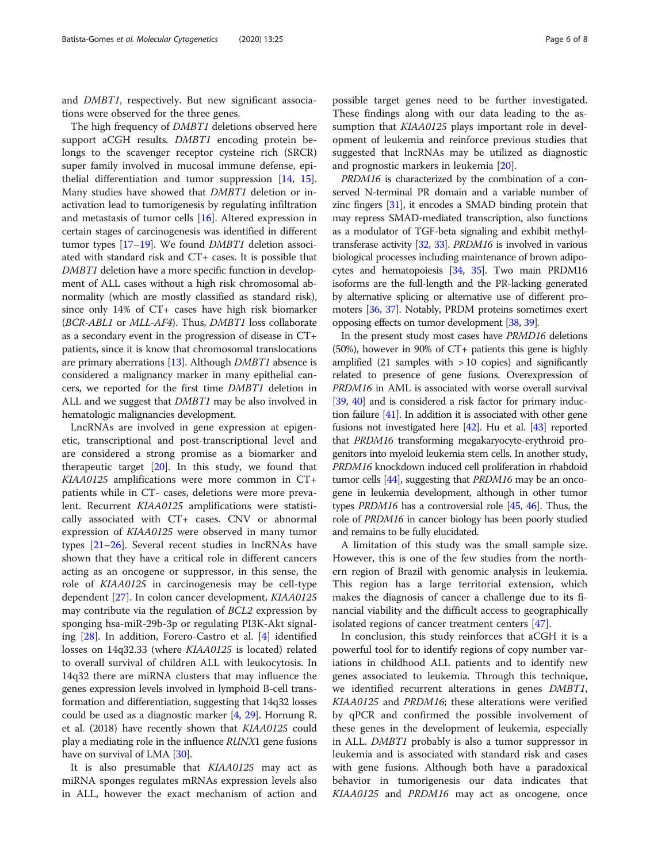and DMBT1, respectively. But new significant associations were observed for the three genes.

The high frequency of DMBT1 deletions observed here support aCGH results. DMBT1 encoding protein belongs to the scavenger receptor cysteine rich (SRCR) super family involved in mucosal immune defense, epithelial differentiation and tumor suppression [\[14,](#page-6-0) [15](#page-6-0)]. Many studies have showed that DMBT1 deletion or inactivation lead to tumorigenesis by regulating infiltration and metastasis of tumor cells [\[16\]](#page-6-0). Altered expression in certain stages of carcinogenesis was identified in different tumor types [[17](#page-6-0)–[19\]](#page-6-0). We found DMBT1 deletion associated with standard risk and CT+ cases. It is possible that DMBT1 deletion have a more specific function in development of ALL cases without a high risk chromosomal abnormality (which are mostly classified as standard risk), since only 14% of CT+ cases have high risk biomarker (BCR-ABL1 or MLL-AF4). Thus, DMBT1 loss collaborate as a secondary event in the progression of disease in CT+ patients, since it is know that chromosomal translocations are primary aberrations [[13](#page-6-0)]. Although DMBT1 absence is considered a malignancy marker in many epithelial cancers, we reported for the first time DMBT1 deletion in ALL and we suggest that *DMBT1* may be also involved in hematologic malignancies development.

LncRNAs are involved in gene expression at epigenetic, transcriptional and post-transcriptional level and are considered a strong promise as a biomarker and therapeutic target  $[20]$  $[20]$ . In this study, we found that KIAA0125 amplifications were more common in CT+ patients while in CT- cases, deletions were more prevalent. Recurrent KIAA0125 amplifications were statistically associated with CT+ cases. CNV or abnormal expression of KIAA0125 were observed in many tumor types [[21](#page-6-0)–[26](#page-7-0)]. Several recent studies in lncRNAs have shown that they have a critical role in different cancers acting as an oncogene or suppressor, in this sense, the role of KIAA0125 in carcinogenesis may be cell-type dependent [[27](#page-7-0)]. In colon cancer development, KIAA0125 may contribute via the regulation of BCL2 expression by sponging hsa-miR-29b-3p or regulating PI3K-Akt signaling [[28\]](#page-7-0). In addition, Forero-Castro et al. [[4\]](#page-6-0) identified losses on 14q32.33 (where KIAA0125 is located) related to overall survival of children ALL with leukocytosis. In 14q32 there are miRNA clusters that may influence the genes expression levels involved in lymphoid B-cell transformation and differentiation, suggesting that 14q32 losses could be used as a diagnostic marker [\[4](#page-6-0), [29](#page-7-0)]. Hornung R. et al. (2018) have recently shown that KIAA0125 could play a mediating role in the influence RUNX1 gene fusions have on survival of LMA [\[30\]](#page-7-0).

It is also presumable that KIAA0125 may act as miRNA sponges regulates mRNAs expression levels also in ALL, however the exact mechanism of action and

possible target genes need to be further investigated. These findings along with our data leading to the assumption that *KIAA0125* plays important role in development of leukemia and reinforce previous studies that suggested that lncRNAs may be utilized as diagnostic and prognostic markers in leukemia [\[20](#page-6-0)].

PRDM16 is characterized by the combination of a conserved N-terminal PR domain and a variable number of zinc fingers [\[31](#page-7-0)], it encodes a SMAD binding protein that may repress SMAD-mediated transcription, also functions as a modulator of TGF-beta signaling and exhibit methyltransferase activity [\[32,](#page-7-0) [33](#page-7-0)]. PRDM16 is involved in various biological processes including maintenance of brown adipocytes and hematopoiesis [[34](#page-7-0), [35](#page-7-0)]. Two main PRDM16 isoforms are the full-length and the PR-lacking generated by alternative splicing or alternative use of different promoters [\[36,](#page-7-0) [37\]](#page-7-0). Notably, PRDM proteins sometimes exert opposing effects on tumor development [\[38,](#page-7-0) [39\]](#page-7-0).

In the present study most cases have PRMD16 deletions (50%), however in 90% of CT+ patients this gene is highly amplified  $(21$  samples with  $> 10$  copies) and significantly related to presence of gene fusions. Overexpression of PRDM16 in AML is associated with worse overall survival [[39](#page-7-0), [40](#page-7-0)] and is considered a risk factor for primary induction failure [\[41\]](#page-7-0). In addition it is associated with other gene fusions not investigated here [\[42\]](#page-7-0). Hu et al. [[43](#page-7-0)] reported that PRDM16 transforming megakaryocyte-erythroid progenitors into myeloid leukemia stem cells. In another study, PRDM16 knockdown induced cell proliferation in rhabdoid tumor cells [[44](#page-7-0)], suggesting that *PRDM16* may be an oncogene in leukemia development, although in other tumor types PRDM16 has a controversial role [\[45,](#page-7-0) [46\]](#page-7-0). Thus, the role of PRDM16 in cancer biology has been poorly studied and remains to be fully elucidated.

A limitation of this study was the small sample size. However, this is one of the few studies from the northern region of Brazil with genomic analysis in leukemia. This region has a large territorial extension, which makes the diagnosis of cancer a challenge due to its financial viability and the difficult access to geographically isolated regions of cancer treatment centers [\[47](#page-7-0)].

In conclusion, this study reinforces that aCGH it is a powerful tool for to identify regions of copy number variations in childhood ALL patients and to identify new genes associated to leukemia. Through this technique, we identified recurrent alterations in genes DMBT1, KIAA0125 and PRDM16; these alterations were verified by qPCR and confirmed the possible involvement of these genes in the development of leukemia, especially in ALL. DMBT1 probably is also a tumor suppressor in leukemia and is associated with standard risk and cases with gene fusions. Although both have a paradoxical behavior in tumorigenesis our data indicates that KIAA0125 and PRDM16 may act as oncogene, once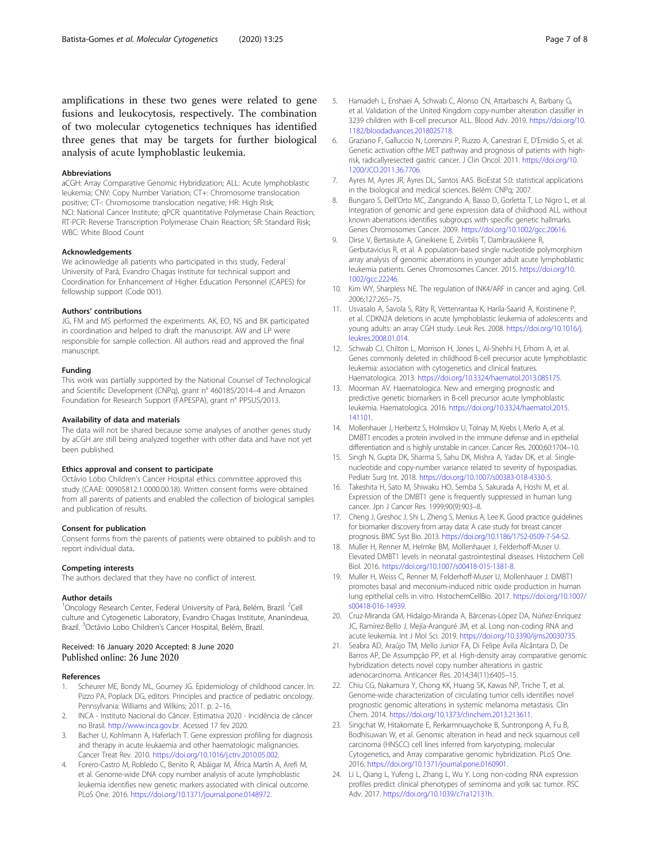<span id="page-6-0"></span>amplifications in these two genes were related to gene fusions and leukocytosis, respectively. The combination of two molecular cytogenetics techniques has identified three genes that may be targets for further biological analysis of acute lymphoblastic leukemia.

#### Abbreviations

aCGH: Array Comparative Genomic Hybridization; ALL: Acute lymphoblastic leukemia; CNV: Copy Number Variation; CT+: Chromosome translocation positive; CT-: Chromosome translocation negative; HR: High Risk; NCI: National Cancer Institute; qPCR: quantitative Polymerase Chain Reaction; RT-PCR: Reverse Transcription Polymerase Chain Reaction; SR: Standard Risk; WBC: White Blood Count

#### Acknowledgements

We acknowledge all patients who participated in this study, Federal University of Pará, Evandro Chagas Institute for technical support and Coordination for Enhancement of Higher Education Personnel (CAPES) for fellowship support (Code 001).

#### Authors' contributions

JG, FM and MS performed the experiments. AK, EO, NS and BK participated in coordination and helped to draft the manuscript. AW and LP were responsible for sample collection. All authors read and approved the final manuscript.

#### Funding

This work was partially supported by the National Counsel of Technological and Scientific Development (CNPq), grant n° 460185/2014–4 and Amazon Foundation for Research Support (FAPESPA), grant n° PPSUS/2013.

#### Availability of data and materials

The data will not be shared because some analyses of another genes study by aCGH are still being analyzed together with other data and have not yet been published.

#### Ethics approval and consent to participate

Octávio Lobo Children's Cancer Hospital ethics committee approved this study (CAAE: 00905812.1.0000.00.18). Written consent forms were obtained from all parents of patients and enabled the collection of biological samples and publication of results.

#### Consent for publication

Consent forms from the parents of patients were obtained to publish and to report individual data.

#### Competing interests

The authors declared that they have no conflict of interest.

#### Author details

<sup>1</sup>Oncology Research Center, Federal University of Pará, Belém, Brazil. <sup>2</sup>Cell culture and Cytogenetic Laboratory, Evandro Chagas Institute, Ananindeua, Brazil. <sup>3</sup>Octávio Lobo Children's Cancer Hospital, Belém, Brazil.

#### Received: 16 January 2020 Accepted: 8 June 2020 Published online: 26 June 2020

#### References

- Scheurer ME, Bondy ML, Gourney JG. Epidemiology of childhood cancer. In: Pizzo PA, Poplack DG, editors. Principles and practice of pediatric oncology. Pennsylvania: Williams and Wilkins; 2011. p. 2–16.
- 2. INCA Instituto Nacional do Câncer. Estimativa 2020 Incidência de câncer no Brasil. <http://www.inca.gov.br>. Acessed 17 fev 2020.
- 3. Bacher U, Kohlmann A, Haferlach T. Gene expression profiling for diagnosis and therapy in acute leukaemia and other haematologic malignancies. Cancer Treat Rev. 2010. [https://doi.org/10.1016/j.ctrv.2010.05.002.](https://doi.org/10.1016/j.ctrv.2010.05.002)
- 4. Forero-Castro M, Robledo C, Benito R, Abáigar M, África Martín A, Arefi M, et al. Genome-wide DNA copy number analysis of acute lymphoblastic leukemia identifies new genetic markers associated with clinical outcome. PLoS One. 2016. [https://doi.org/10.1371/journal.pone.0148972.](https://doi.org/10.1371/journal.pone.0148972)
- 5. Hamadeh L, Enshaei A, Schwab C, Alonso CN, Attarbaschi A, Barbany G, et al. Validation of the United Kingdom copy-number alteration classifier in 3239 children with B-cell precursor ALL. Blood Adv. 2019. [https://doi.org/10.](https://doi.org/10.1182/bloodadvances.2018025718) [1182/bloodadvances.2018025718](https://doi.org/10.1182/bloodadvances.2018025718).
- 6. Graziano F, Galluccio N, Lorenzini P, Ruzzo A, Canestrari E, D'Emidio S, et al. Genetic activation ofthe MET pathway and prognosis of patients with highrisk, radicallyresected gastric cancer. J Clin Oncol. 2011. [https://doi.org/10.](https://doi.org/10.1200/JCO.2011.36.7706) [1200/JCO.2011.36.7706.](https://doi.org/10.1200/JCO.2011.36.7706)
- 7. Ayres M, Ayres JR, Ayres DL, Santos AAS. BioEstat 5.0: statistical applications in the biological and medical sciences. Belém: CNPq; 2007.
- Bungaro S, Dell'Orto MC, Zangrando A, Basso D, Gorletta T, Lo Nigro L, et al. Integration of genomic and gene expression data of childhood ALL without known aberrations identifies subgroups with specific genetic hallmarks. Genes Chromosomes Cancer. 2009. <https://doi.org/10.1002/gcc.20616>.
- 9. Dirse V, Bertasiute A, Gineikiene E, Zvirblis T, Dambrauskiene R, Gerbutavicius R, et al. A population-based single nucleotide polymorphism array analysis of genomic aberrations in younger adult acute lymphoblastic leukemia patients. Genes Chromosomes Cancer. 2015. [https://doi.org/10.](https://doi.org/10.1002/gcc.22246) [1002/gcc.22246](https://doi.org/10.1002/gcc.22246).
- 10. Kim WY, Sharpless NE. The regulation of INK4/ARF in cancer and aging. Cell. 2006;127:265–75.
- 11. Usvasalo A, Savola S, Räty R, Vettenrantaa K, Harila-Saarid A, Koistinene P, et al. CDKN2A deletions in acute lymphoblastic leukemia of adolescents and young adults: an array CGH study. Leuk Res. 2008. [https://doi.org/10.1016/j.](https://doi.org/10.1016/j.leukres.2008.01.014) [leukres.2008.01.014.](https://doi.org/10.1016/j.leukres.2008.01.014)
- 12. Schwab CJ, Chilton L, Morrison H, Jones L, Al-Shehhi H, Erhorn A, et al. Genes commonly deleted in childhood B-cell precursor acute lymphoblastic leukemia: association with cytogenetics and clinical features. Haematologica. 2013. <https://doi.org/10.3324/haematol.2013.085175>.
- 13. Moorman AV. Haematologica. New and emerging prognostic and predictive genetic biomarkers in B-cell precursor acute lymphoblastic leukemia. Haematologica. 2016. [https://doi.org/10.3324/haematol.2015.](https://doi.org/10.3324/haematol.2015.141101) [141101](https://doi.org/10.3324/haematol.2015.141101).
- 14. Mollenhauer J, Herbertz S, Holmskov U, Tolnay M, Krebs I, Merlo A, et al. DMBT1 encodes a protein involved in the immune defense and in epithelial differentiation and is highly unstable in cancer. Cancer Res. 2000;60:1704–10.
- 15. Singh N, Gupta DK, Sharma S, Sahu DK, Mishra A, Yadav DK, et al. Singlenucleotide and copy-number variance related to severity of hypospadias. Pediatr Surg Int. 2018. [https://doi.org/10.1007/s00383-018-4330-5.](https://doi.org/10.1007/s00383-018-4330-5)
- 16. Takeshita H, Sato M, Shiwaku HO, Semba S, Sakurada A, Hoshi M, et al. Expression of the DMBT1 gene is frequently suppressed in human lung cancer. Jpn J Cancer Res. 1999;90(9):903–8.
- 17. Cheng J, Greshoc J, Shi L, Zheng S, Menius A, Lee K. Good practice guidelines for biomarker discovery from array data: A case study for breast cancer prognosis. BMC Syst Bio. 2013. [https://doi.org/10.1186/1752-0509-7-S4-S2.](https://doi.org/10.1186/1752-0509-7-S4-S2)
- 18. Muller H, Renner M, Helmke BM, Mollenhauer J, Felderhoff-Muser U. Elevated DMBT1 levels in neonatal gastrointestinal diseases. Histochem Cell Biol. 2016. [https://doi.org/10.1007/s00418-015-1381-8.](https://doi.org/10.1007/s00418-015-1381-8)
- 19. Muller H, Weiss C, Renner M, Felderhoff-Muser U, Mollenhauer J. DMBT1 promotes basal and meconium-induced nitric oxide production in human lung epithelial cells in vitro. HistochemCellBio. 2017. [https://doi.org/10.1007/](https://doi.org/10.1007/s00418-016-14939) [s00418-016-14939.](https://doi.org/10.1007/s00418-016-14939)
- 20. Cruz-Miranda GM, Hidalgo-Miranda A, Bárcenas-López DA, Núñez-Enríquez JC, Ramírez-Bello J, Mejía-Aranguré JM, et al. Long non-coding RNA and acute leukemia. Int J Mol Sci. 2019. <https://doi.org/10.3390/ijms20030735>.
- 21. Seabra AD, Araújo TM, Mello Junior FA, Di Felipe Ávila Alcântara D, De Barros AP, De Assumpção PP, et al. High-density array comparative genomic hybridization detects novel copy number alterations in gastric adenocarcinoma. Anticancer Res. 2014;34(11):6405–15.
- 22. Chiu CG, Nakamura Y, Chong KK, Huang SK, Kawas NP, Triche T, et al. Genome-wide characterization of circulating tumor cells identifies novel prognostic genomic alterations in systemic melanoma metastasis. Clin Chem. 2014. [https://doi.org/10.1373/clinchem.2013.213611.](https://doi.org/10.1373/clinchem.2013.213611)
- 23. Singchat W, Hitakomate E, Rerkarmnuaychoke B, Suntronpong A, Fu B, Bodhisuwan W, et al. Genomic alteration in head and neck squamous cell carcinoma (HNSCC) cell lines inferred from karyotyping, molecular Cytogenetics, and Array comparative genomic hybridization. PLoS One. 2016. [https://doi.org/10.1371/journal.pone.0160901.](https://doi.org/10.1371/journal.pone.0160901)
- 24. Li L, Qiang L, Yufeng L, Zhang L, Wu Y. Long non-coding RNA expression profiles predict clinical phenotypes of seminoma and yolk sac tumor. RSC Adv. 2017. <https://doi.org/10.1039/c7ra12131h>.